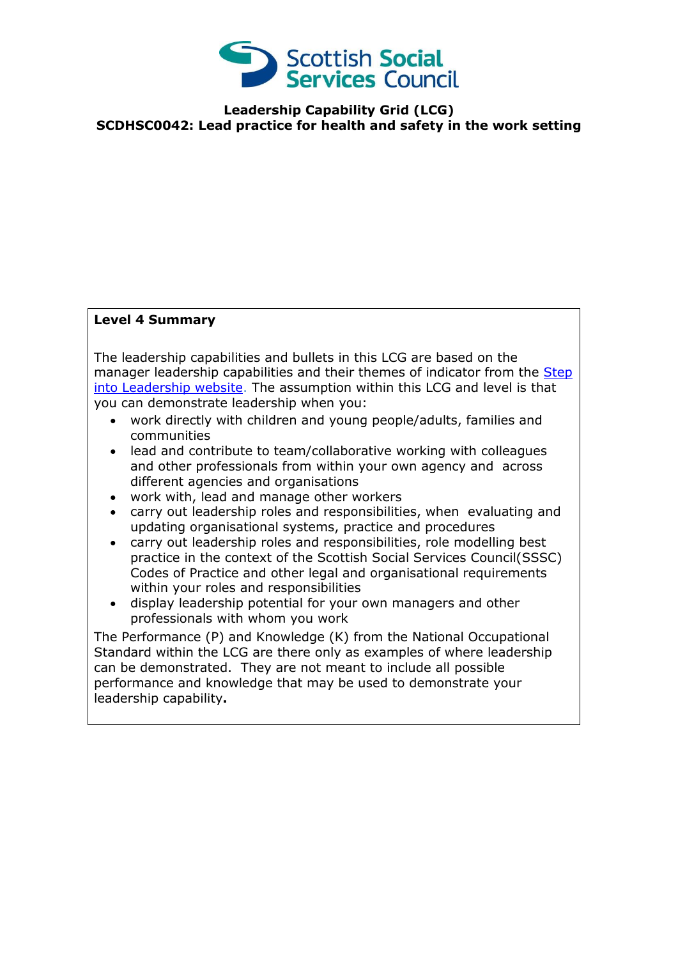

**Leadership Capability Grid (LCG) SCDHSC0042: Lead practice for health and safety in the work setting**

## **Level 4 Summary**

The leadership capabilities and bullets in this LCG are based on the manager leadership capabilities and their themes of indicator from the Step [into Leadership website.](http://www.stepintoleadership.info/) The assumption within this LCG and level is that you can demonstrate leadership when you:

- work directly with children and young people/adults, families and communities
- lead and contribute to team/collaborative working with colleagues and other professionals from within your own agency and across different agencies and organisations
- work with, lead and manage other workers
- carry out leadership roles and responsibilities, when evaluating and updating organisational systems, practice and procedures
- carry out leadership roles and responsibilities, role modelling best practice in the context of the Scottish Social Services Council(SSSC) Codes of Practice and other legal and organisational requirements within your roles and responsibilities
- display leadership potential for your own managers and other professionals with whom you work

The Performance (P) and Knowledge (K) from the National Occupational Standard within the LCG are there only as examples of where leadership can be demonstrated. They are not meant to include all possible performance and knowledge that may be used to demonstrate your leadership capability**.**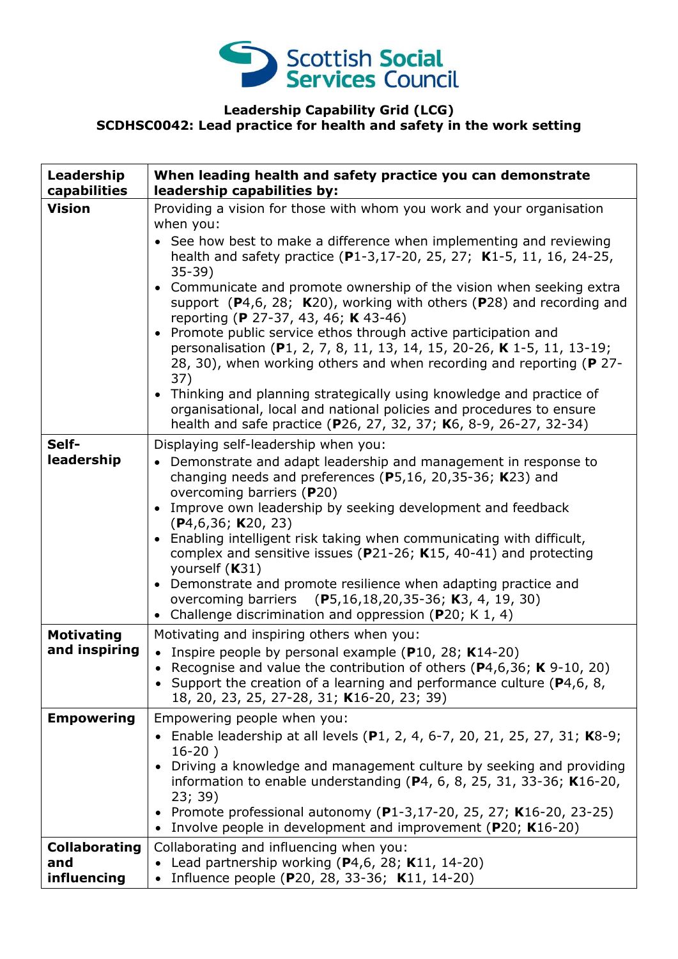

## **Leadership Capability Grid (LCG) SCDHSC0042: Lead practice for health and safety in the work setting**

| Leadership<br>capabilities                 | When leading health and safety practice you can demonstrate<br>leadership capabilities by:                                                                                                                                                                                       |
|--------------------------------------------|----------------------------------------------------------------------------------------------------------------------------------------------------------------------------------------------------------------------------------------------------------------------------------|
| <b>Vision</b>                              | Providing a vision for those with whom you work and your organisation<br>when you:                                                                                                                                                                                               |
|                                            | See how best to make a difference when implementing and reviewing<br>health and safety practice (P1-3,17-20, 25, 27; K1-5, 11, 16, 24-25,<br>$35-39)$                                                                                                                            |
|                                            | Communicate and promote ownership of the vision when seeking extra<br>support $(P4,6, 28; K20)$ , working with others $(P28)$ and recording and<br>reporting (P 27-37, 43, 46; K 43-46)                                                                                          |
|                                            | Promote public service ethos through active participation and<br>personalisation (P1, 2, 7, 8, 11, 13, 14, 15, 20-26, K 1-5, 11, 13-19;<br>28, 30), when working others and when recording and reporting (P 27-<br>37)                                                           |
|                                            | • Thinking and planning strategically using knowledge and practice of<br>organisational, local and national policies and procedures to ensure<br>health and safe practice (P26, 27, 32, 37; K6, 8-9, 26-27, 32-34)                                                               |
| Self-                                      | Displaying self-leadership when you:                                                                                                                                                                                                                                             |
| leadership                                 | • Demonstrate and adapt leadership and management in response to<br>changing needs and preferences (P5,16, 20,35-36; K23) and                                                                                                                                                    |
|                                            | overcoming barriers (P20)<br>Improve own leadership by seeking development and feedback<br>(P4, 6, 36; K20, 23)                                                                                                                                                                  |
|                                            | Enabling intelligent risk taking when communicating with difficult,<br>complex and sensitive issues ( $P21-26$ ; K15, 40-41) and protecting<br>yourself (K31)                                                                                                                    |
|                                            | • Demonstrate and promote resilience when adapting practice and<br>overcoming barriers (P5,16,18,20,35-36; K3, 4, 19, 30)<br>• Challenge discrimination and oppression (P20; K 1, 4)                                                                                             |
| <b>Motivating</b>                          | Motivating and inspiring others when you:                                                                                                                                                                                                                                        |
| and inspiring                              | • Inspire people by personal example ( $P10$ , 28; K14-20)<br>Recognise and value the contribution of others ( $P4,6,36$ ; K 9-10, 20)<br>$\bullet$<br>• Support the creation of a learning and performance culture ( $P4, 6, 8$ ,<br>18, 20, 23, 25, 27-28, 31; K16-20, 23; 39) |
| <b>Empowering</b>                          | Empowering people when you:                                                                                                                                                                                                                                                      |
|                                            | Enable leadership at all levels (P1, 2, 4, 6-7, 20, 21, 25, 27, 31; K8-9;                                                                                                                                                                                                        |
|                                            | $16-20)$<br>Driving a knowledge and management culture by seeking and providing<br>information to enable understanding ( $P4$ , 6, 8, 25, 31, 33-36; K16-20,                                                                                                                     |
|                                            | 23; 39)<br>Promote professional autonomy (P1-3,17-20, 25, 27; K16-20, 23-25)<br>Involve people in development and improvement (P20; K16-20)                                                                                                                                      |
| <b>Collaborating</b><br>and<br>influencing | Collaborating and influencing when you:<br>Lead partnership working (P4,6, 28; K11, 14-20)<br>Influence people (P20, 28, 33-36; K11, 14-20)                                                                                                                                      |